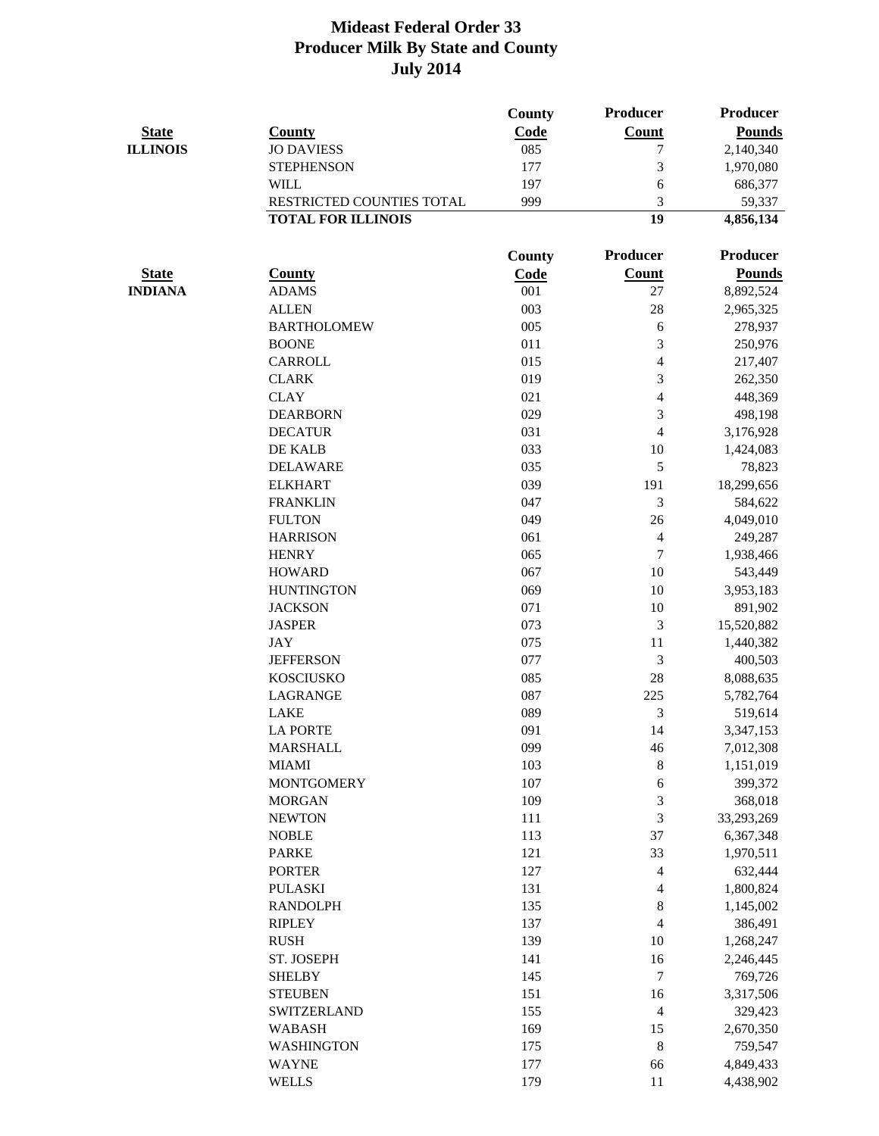|                 |                           | County        | <b>Producer</b>          | <b>Producer</b> |
|-----------------|---------------------------|---------------|--------------------------|-----------------|
| <b>State</b>    | <b>County</b>             | Code          | <b>Count</b>             | <b>Pounds</b>   |
| <b>ILLINOIS</b> | <b>JO DAVIESS</b>         | 085           | 7                        | 2,140,340       |
|                 | <b>STEPHENSON</b>         | 177           | 3                        | 1,970,080       |
|                 | <b>WILL</b>               | 197           | 6                        | 686,377         |
|                 | RESTRICTED COUNTIES TOTAL | 999           | 3                        | 59,337          |
|                 | <b>TOTAL FOR ILLINOIS</b> |               | 19                       | 4,856,134       |
|                 |                           | <b>County</b> | <b>Producer</b>          | <b>Producer</b> |
| <b>State</b>    | <b>County</b>             | Code          | <b>Count</b>             | <b>Pounds</b>   |
| <b>INDIANA</b>  | <b>ADAMS</b>              | 001           | 27                       | 8,892,524       |
|                 | <b>ALLEN</b>              | 003           | 28                       | 2,965,325       |
|                 | <b>BARTHOLOMEW</b>        | 005           | 6                        | 278,937         |
|                 | <b>BOONE</b>              | 011           | 3                        | 250,976         |
|                 | <b>CARROLL</b>            | 015           | 4                        | 217,407         |
|                 | <b>CLARK</b>              | 019           | 3                        | 262,350         |
|                 | <b>CLAY</b>               | 021           | $\overline{4}$           | 448,369         |
|                 | <b>DEARBORN</b>           | 029           | 3                        | 498,198         |
|                 | <b>DECATUR</b>            | 031           | $\overline{\mathcal{A}}$ | 3,176,928       |
|                 | DE KALB                   | 033           | 10                       | 1,424,083       |
|                 | <b>DELAWARE</b>           | 035           | 5                        | 78,823          |
|                 | <b>ELKHART</b>            | 039           | 191                      | 18,299,656      |
|                 | <b>FRANKLIN</b>           | 047           | 3                        | 584,622         |
|                 | <b>FULTON</b>             | 049           | 26                       | 4,049,010       |
|                 | <b>HARRISON</b>           | 061           | $\overline{4}$           | 249,287         |
|                 | <b>HENRY</b>              | 065           | $\tau$                   | 1,938,466       |
|                 | <b>HOWARD</b>             | 067           | 10                       | 543,449         |
|                 | <b>HUNTINGTON</b>         | 069           | 10                       | 3,953,183       |
|                 | <b>JACKSON</b>            | 071           | 10                       | 891,902         |
|                 | <b>JASPER</b>             | 073           | $\mathfrak{Z}$           | 15,520,882      |
|                 | <b>JAY</b>                | 075           | 11                       | 1,440,382       |
|                 | <b>JEFFERSON</b>          | 077           | 3                        | 400,503         |
|                 | <b>KOSCIUSKO</b>          | 085           | 28                       | 8,088,635       |
|                 | <b>LAGRANGE</b>           | 087           | 225                      | 5,782,764       |
|                 | LAKE                      | 089           | 3                        | 519,614         |
|                 | <b>LA PORTE</b>           | 091           | 14                       | 3,347,153       |
|                 | <b>MARSHALL</b>           | 099           | 46                       | 7,012,308       |
|                 | <b>MIAMI</b>              | 103           | 8                        | 1,151,019       |
|                 | <b>MONTGOMERY</b>         | 107           | 6                        | 399,372         |
|                 | <b>MORGAN</b>             | 109           | $\mathfrak{Z}$           | 368,018         |
|                 | <b>NEWTON</b>             | 111           | 3                        | 33,293,269      |
|                 | <b>NOBLE</b>              | 113           | 37                       | 6,367,348       |
|                 | <b>PARKE</b>              | 121           | 33                       | 1,970,511       |
|                 | <b>PORTER</b>             | 127           | $\overline{4}$           | 632,444         |
|                 | <b>PULASKI</b>            | 131           | $\overline{\mathcal{A}}$ | 1,800,824       |
|                 | <b>RANDOLPH</b>           | 135           | $\,8\,$                  | 1,145,002       |
|                 | <b>RIPLEY</b>             | 137           | $\overline{4}$           | 386,491         |
|                 | <b>RUSH</b>               | 139           | 10                       | 1,268,247       |
|                 | ST. JOSEPH                | 141           | 16                       | 2,246,445       |
|                 | <b>SHELBY</b>             | 145           | $\tau$                   | 769,726         |
|                 | <b>STEUBEN</b>            | 151           | 16                       | 3,317,506       |
|                 | <b>SWITZERLAND</b>        | 155           | $\overline{4}$           | 329,423         |
|                 | <b>WABASH</b>             | 169           | 15                       | 2,670,350       |
|                 | <b>WASHINGTON</b>         | 175           | 8                        | 759,547         |
|                 | <b>WAYNE</b>              | 177           | 66                       | 4,849,433       |
|                 | <b>WELLS</b>              | 179           | 11                       | 4,438,902       |
|                 |                           |               |                          |                 |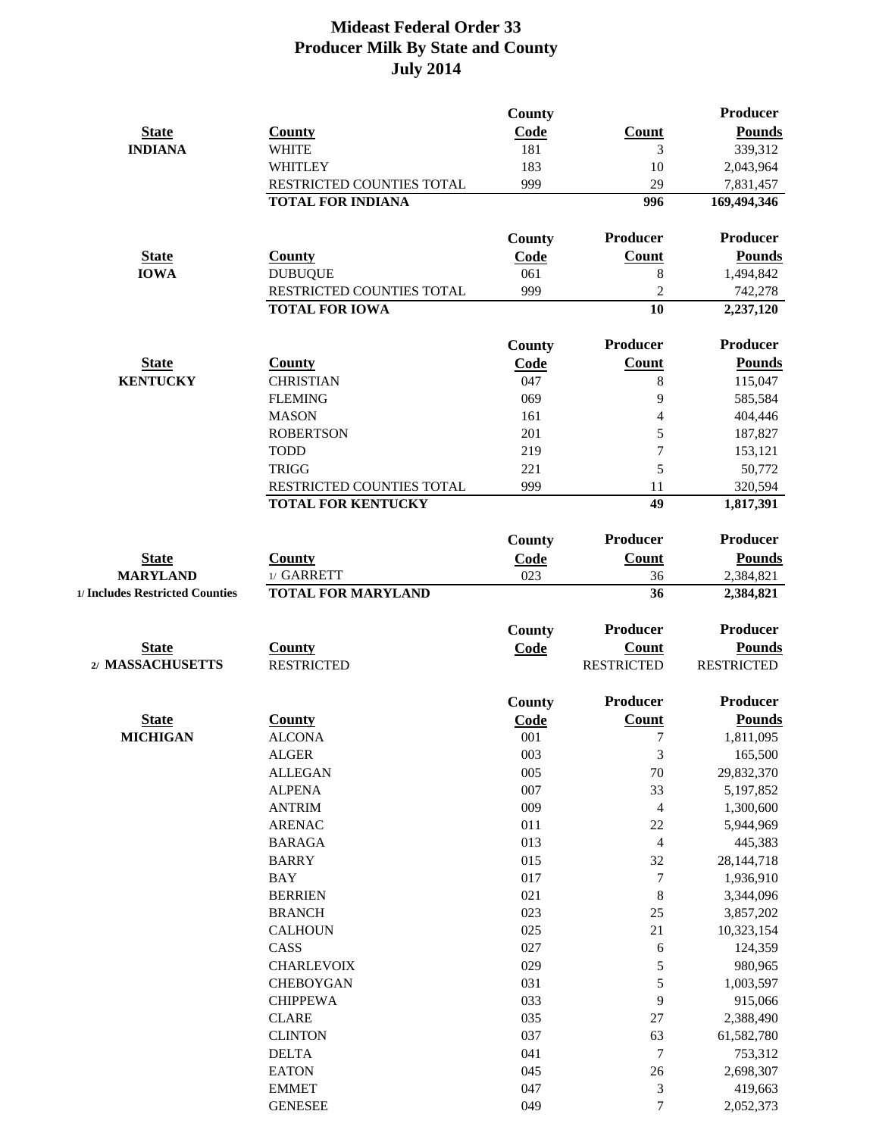|                                 |                                | <b>County</b> |                   | Producer             |
|---------------------------------|--------------------------------|---------------|-------------------|----------------------|
| <b>State</b>                    | <b>County</b>                  | Code          | <b>Count</b>      | <b>Pounds</b>        |
| <b>INDIANA</b>                  | <b>WHITE</b>                   | 181           | 3                 | 339,312              |
|                                 | <b>WHITLEY</b>                 | 183           | 10                | 2,043,964            |
|                                 | RESTRICTED COUNTIES TOTAL      | 999           | 29                | 7,831,457            |
|                                 | <b>TOTAL FOR INDIANA</b>       |               | 996               | 169,494,346          |
|                                 |                                | <b>County</b> | Producer          | <b>Producer</b>      |
| <b>State</b>                    | <b>County</b>                  | Code          | Count             | <b>Pounds</b>        |
| <b>IOWA</b>                     | <b>DUBUQUE</b>                 | 061           | 8                 | 1,494,842            |
|                                 | RESTRICTED COUNTIES TOTAL      | 999           | $\overline{2}$    | 742,278              |
|                                 | <b>TOTAL FOR IOWA</b>          |               | 10                | 2,237,120            |
|                                 |                                | <b>County</b> | Producer          | <b>Producer</b>      |
| <b>State</b>                    | <b>County</b>                  | Code          | <b>Count</b>      | <b>Pounds</b>        |
| <b>KENTUCKY</b>                 | <b>CHRISTIAN</b>               | 047           | 8                 | 115,047              |
|                                 | <b>FLEMING</b>                 | 069           | 9                 | 585,584              |
|                                 | <b>MASON</b>                   | 161           | $\overline{4}$    | 404,446              |
|                                 | <b>ROBERTSON</b>               | 201           | 5                 | 187,827              |
|                                 | <b>TODD</b>                    | 219           | $\overline{7}$    | 153,121              |
|                                 | <b>TRIGG</b>                   | 221           | 5                 | 50,772               |
|                                 | RESTRICTED COUNTIES TOTAL      | 999           | 11                | 320,594              |
|                                 | <b>TOTAL FOR KENTUCKY</b>      |               | 49                | 1,817,391            |
|                                 |                                | County        | Producer          | <b>Producer</b>      |
| <b>State</b>                    | <b>County</b>                  | Code          | Count             | <b>Pounds</b>        |
| <b>MARYLAND</b>                 | 1/ GARRETT                     | 023           | 36                | 2,384,821            |
| 1/ Includes Restricted Counties | <b>TOTAL FOR MARYLAND</b>      |               | 36                | 2,384,821            |
|                                 |                                | <b>County</b> | Producer          | <b>Producer</b>      |
| <b>State</b>                    | <b>County</b>                  | Code          | <b>Count</b>      | <b>Pounds</b>        |
| 2/ MASSACHUSETTS                | <b>RESTRICTED</b>              |               | <b>RESTRICTED</b> | <b>RESTRICTED</b>    |
|                                 |                                | County        | Producer          | <b>Producer</b>      |
| <b>State</b>                    | <b>County</b>                  | Code          | <b>Count</b>      | <b>Pounds</b>        |
| <b>MICHIGAN</b>                 | <b>ALCONA</b>                  | 001           | $\overline{7}$    | 1,811,095            |
|                                 | <b>ALGER</b>                   | 003           | 3                 | 165,500              |
|                                 | <b>ALLEGAN</b>                 | 005           | 70                | 29,832,370           |
|                                 | <b>ALPENA</b>                  | 007           | 33                | 5,197,852            |
|                                 | <b>ANTRIM</b>                  | 009           | $\overline{4}$    | 1,300,600            |
|                                 | <b>ARENAC</b>                  | 011           | 22                | 5,944,969            |
|                                 | <b>BARAGA</b>                  | 013           | $\overline{4}$    | 445,383              |
|                                 | <b>BARRY</b>                   | 015           | 32                | 28, 144, 718         |
|                                 | <b>BAY</b>                     | 017           | $\tau$            | 1,936,910            |
|                                 | <b>BERRIEN</b>                 | 021           | $\,8\,$           | 3,344,096            |
|                                 | <b>BRANCH</b>                  | 023           | 25                | 3,857,202            |
|                                 | <b>CALHOUN</b>                 | 025           | 21                | 10,323,154           |
|                                 | CASS                           | 027           | 6                 | 124,359              |
|                                 | <b>CHARLEVOIX</b>              | 029           | 5                 | 980,965              |
|                                 | <b>CHEBOYGAN</b>               | 031           | 5                 | 1,003,597            |
|                                 | <b>CHIPPEWA</b>                | 033           | 9                 | 915,066              |
|                                 | <b>CLARE</b>                   | 035           |                   |                      |
|                                 |                                |               | 27                | 2,388,490            |
|                                 | <b>CLINTON</b>                 | 037           | 63                | 61,582,780           |
|                                 | <b>DELTA</b>                   | 041           | $\tau$            | 753,312              |
|                                 | <b>EATON</b>                   | 045           | 26                | 2,698,307            |
|                                 | <b>EMMET</b><br><b>GENESEE</b> | 047<br>049    | 3<br>$\tau$       | 419,663<br>2,052,373 |
|                                 |                                |               |                   |                      |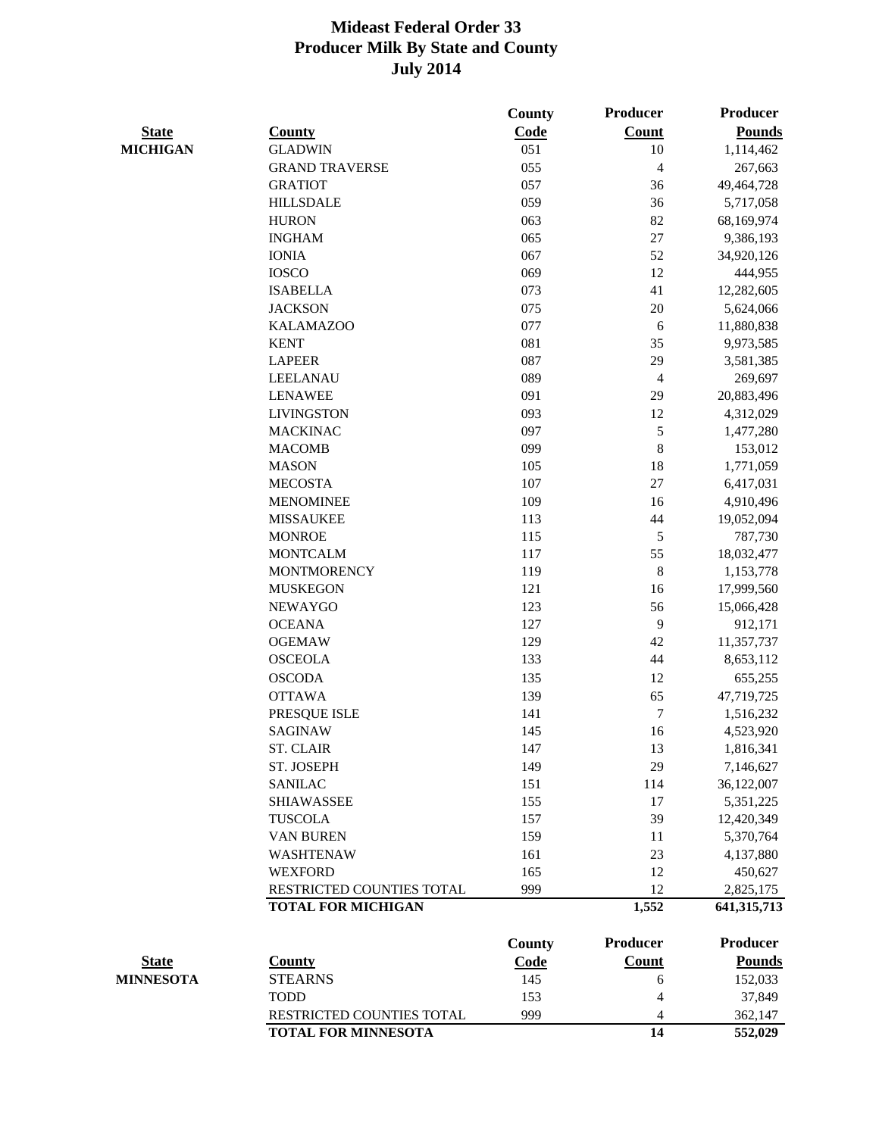|                  |                            | <b>County</b> | <b>Producer</b> | Producer        |
|------------------|----------------------------|---------------|-----------------|-----------------|
| <b>State</b>     | <b>County</b>              | <b>Code</b>   | <b>Count</b>    | <b>Pounds</b>   |
| <b>MICHIGAN</b>  | <b>GLADWIN</b>             | 051           | 10              | 1,114,462       |
|                  | <b>GRAND TRAVERSE</b>      | 055           | $\overline{4}$  | 267,663         |
|                  | <b>GRATIOT</b>             | 057           | 36              | 49,464,728      |
|                  | <b>HILLSDALE</b>           | 059           | 36              | 5,717,058       |
|                  | <b>HURON</b>               | 063           | 82              | 68,169,974      |
|                  | <b>INGHAM</b>              | 065           | 27              | 9,386,193       |
|                  | <b>IONIA</b>               | 067           | 52              | 34,920,126      |
|                  | <b>IOSCO</b>               | 069           | 12              | 444,955         |
|                  | <b>ISABELLA</b>            | 073           | 41              | 12,282,605      |
|                  | <b>JACKSON</b>             | 075           | 20              | 5,624,066       |
|                  | <b>KALAMAZOO</b>           | 077           | 6               | 11,880,838      |
|                  | <b>KENT</b>                | 081           | 35              | 9,973,585       |
|                  | <b>LAPEER</b>              | 087           | 29              | 3,581,385       |
|                  | <b>LEELANAU</b>            | 089           | $\overline{4}$  | 269,697         |
|                  | <b>LENAWEE</b>             | 091           | 29              | 20,883,496      |
|                  | <b>LIVINGSTON</b>          | 093           | 12              | 4,312,029       |
|                  | <b>MACKINAC</b>            | 097           | $\mathfrak{S}$  | 1,477,280       |
|                  | <b>MACOMB</b>              | 099           | 8               | 153,012         |
|                  | <b>MASON</b>               | 105           | 18              | 1,771,059       |
|                  | <b>MECOSTA</b>             | 107           | 27              | 6,417,031       |
|                  | <b>MENOMINEE</b>           | 109           | 16              | 4,910,496       |
|                  | <b>MISSAUKEE</b>           | 113           | 44              | 19,052,094      |
|                  | <b>MONROE</b>              | 115           | 5               | 787,730         |
|                  | <b>MONTCALM</b>            | 117           | 55              | 18,032,477      |
|                  | <b>MONTMORENCY</b>         | 119           | $\,8\,$         | 1,153,778       |
|                  | <b>MUSKEGON</b>            | 121           | 16              | 17,999,560      |
|                  | <b>NEWAYGO</b>             | 123           | 56              | 15,066,428      |
|                  | <b>OCEANA</b>              | 127           | 9               | 912,171         |
|                  | <b>OGEMAW</b>              | 129           | 42              | 11,357,737      |
|                  | <b>OSCEOLA</b>             | 133           | 44              | 8,653,112       |
|                  | <b>OSCODA</b>              | 135           | 12              | 655,255         |
|                  | <b>OTTAWA</b>              | 139           | 65              | 47,719,725      |
|                  | PRESQUE ISLE               | 141           | $\tau$          | 1,516,232       |
|                  | <b>SAGINAW</b>             | 145           | 16              | 4,523,920       |
|                  | <b>ST. CLAIR</b>           | 147           | 13              | 1,816,341       |
|                  | ST. JOSEPH                 | 149           | 29              | 7,146,627       |
|                  | <b>SANILAC</b>             | 151           | 114             | 36,122,007      |
|                  | <b>SHIAWASSEE</b>          | 155           | 17              | 5,351,225       |
|                  | <b>TUSCOLA</b>             | 157           | 39              | 12,420,349      |
|                  | <b>VAN BUREN</b>           | 159           | 11              | 5,370,764       |
|                  | <b>WASHTENAW</b>           | 161           | 23              | 4,137,880       |
|                  | <b>WEXFORD</b>             | 165           | 12              | 450,627         |
|                  | RESTRICTED COUNTIES TOTAL  | 999           | 12              | 2,825,175       |
|                  | <b>TOTAL FOR MICHIGAN</b>  |               | 1,552           |                 |
|                  |                            |               |                 | 641, 315, 713   |
|                  |                            | <b>County</b> | <b>Producer</b> | <b>Producer</b> |
| <b>State</b>     | <b>County</b>              | <u>Code</u>   | <b>Count</b>    | <b>Pounds</b>   |
| <b>MINNESOTA</b> | <b>STEARNS</b>             | 145           | 6               | 152,033         |
|                  | <b>TODD</b>                | 153           | 4               | 37,849          |
|                  | RESTRICTED COUNTIES TOTAL  | 999           | 4               | 362,147         |
|                  | <b>TOTAL FOR MINNESOTA</b> |               | 14              | 552,029         |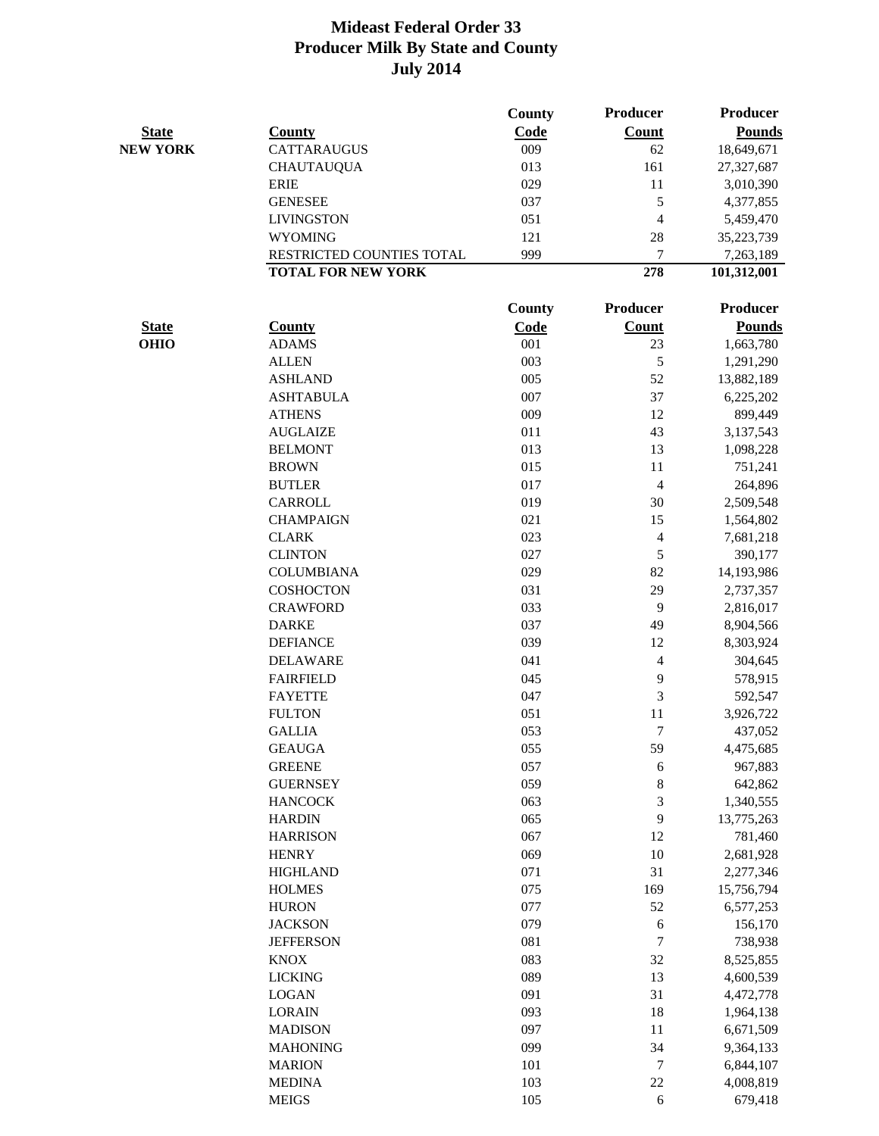|                 |                           | <b>County</b> | <b>Producer</b> | <b>Producer</b> |
|-----------------|---------------------------|---------------|-----------------|-----------------|
| <b>State</b>    | <b>County</b>             | Code          | <b>Count</b>    | <b>Pounds</b>   |
| <b>NEW YORK</b> | <b>CATTARAUGUS</b>        | 009           | 62              | 18,649,671      |
|                 | <b>CHAUTAUQUA</b>         | 013           | 161             | 27,327,687      |
|                 | <b>ERIE</b>               | 029           | 11              | 3,010,390       |
|                 | <b>GENESEE</b>            | 037           | $\mathfrak{S}$  | 4,377,855       |
|                 | <b>LIVINGSTON</b>         | 051           | $\overline{4}$  | 5,459,470       |
|                 | <b>WYOMING</b>            | 121           | 28              | 35,223,739      |
|                 | RESTRICTED COUNTIES TOTAL | 999           | 7               | 7,263,189       |
|                 | <b>TOTAL FOR NEW YORK</b> |               | 278             | 101,312,001     |
|                 |                           | County        | Producer        | Producer        |
| <b>State</b>    | <b>County</b>             | <b>Code</b>   | <b>Count</b>    | <b>Pounds</b>   |
| <b>OHIO</b>     | <b>ADAMS</b>              | 001           | 23              | 1,663,780       |
|                 | <b>ALLEN</b>              | 003           | 5               | 1,291,290       |
|                 | <b>ASHLAND</b>            | 005           | 52              | 13,882,189      |
|                 | <b>ASHTABULA</b>          | 007           | 37              | 6,225,202       |
|                 | <b>ATHENS</b>             | 009           | 12              | 899,449         |
|                 | <b>AUGLAIZE</b>           | 011           | 43              | 3,137,543       |
|                 | <b>BELMONT</b>            | 013           | 13              | 1,098,228       |
|                 | <b>BROWN</b>              | 015           | 11              | 751,241         |
|                 | <b>BUTLER</b>             | 017           | $\overline{4}$  | 264,896         |
|                 | CARROLL                   | 019           | 30              | 2,509,548       |
|                 | <b>CHAMPAIGN</b>          | 021           | 15              | 1,564,802       |
|                 | <b>CLARK</b>              | 023           | $\overline{4}$  | 7,681,218       |
|                 | <b>CLINTON</b>            | 027           | 5               | 390,177         |
|                 | <b>COLUMBIANA</b>         | 029           | 82              | 14,193,986      |
|                 | <b>COSHOCTON</b>          | 031           | 29              | 2,737,357       |
|                 | <b>CRAWFORD</b>           | 033           | 9               | 2,816,017       |
|                 | <b>DARKE</b>              | 037           | 49              | 8,904,566       |
|                 | <b>DEFIANCE</b>           | 039           | 12              | 8,303,924       |
|                 | <b>DELAWARE</b>           | 041           | $\overline{4}$  | 304,645         |
|                 | <b>FAIRFIELD</b>          | 045           | 9               | 578,915         |
|                 | <b>FAYETTE</b>            | 047           | 3               | 592,547         |
|                 | <b>FULTON</b>             | 051           | 11              | 3,926,722       |
|                 | <b>GALLIA</b>             | 053           | 7               | 437,052         |
|                 | <b>GEAUGA</b>             | 055           | 59              | 4,475,685       |
|                 | <b>GREENE</b>             | 057           | 6               | 967,883         |
|                 | <b>GUERNSEY</b>           | 059           | $\,8\,$         | 642,862         |
|                 | <b>HANCOCK</b>            | 063           | $\mathfrak{Z}$  | 1,340,555       |
|                 | <b>HARDIN</b>             | 065           | 9               | 13,775,263      |
|                 | <b>HARRISON</b>           | 067           | 12              | 781,460         |
|                 | <b>HENRY</b>              | 069           | 10              | 2,681,928       |
|                 | <b>HIGHLAND</b>           | 071           | 31              | 2,277,346       |
|                 | <b>HOLMES</b>             | 075           | 169             | 15,756,794      |
|                 | <b>HURON</b>              | 077           | 52              | 6,577,253       |
|                 | <b>JACKSON</b>            | 079           | 6               | 156,170         |
|                 | <b>JEFFERSON</b>          | 081           | $\tau$          | 738,938         |
|                 | <b>KNOX</b>               | 083           | 32              | 8,525,855       |
|                 | <b>LICKING</b>            | 089           | 13              | 4,600,539       |
|                 | <b>LOGAN</b>              | 091           | 31              | 4,472,778       |
|                 | <b>LORAIN</b>             | 093           | 18              | 1,964,138       |
|                 | <b>MADISON</b>            | 097           | 11              | 6,671,509       |
|                 | <b>MAHONING</b>           | 099           | 34              | 9,364,133       |
|                 | <b>MARION</b>             | 101           | $\tau$          | 6,844,107       |
|                 | <b>MEDINA</b>             | 103           | 22              | 4,008,819       |
|                 | <b>MEIGS</b>              | 105           | 6               | 679,418         |
|                 |                           |               |                 |                 |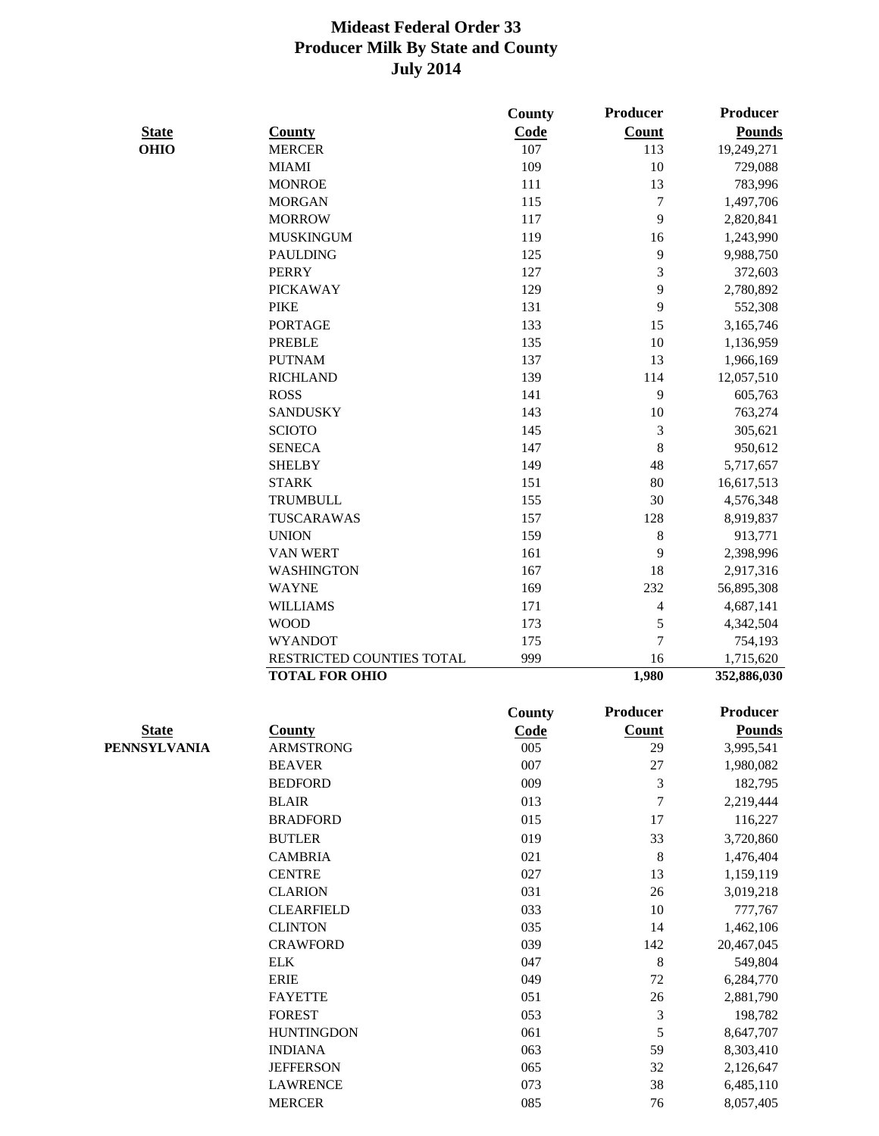|                             |                                                    | <b>County</b> | <b>Producer</b>          | <b>Producer</b>          |
|-----------------------------|----------------------------------------------------|---------------|--------------------------|--------------------------|
| <b>State</b><br><b>OHIO</b> | <b>County</b>                                      | <b>Code</b>   | <b>Count</b>             | <b>Pounds</b>            |
|                             | <b>MERCER</b>                                      | 107           | 113                      | 19,249,271               |
|                             | <b>MIAMI</b>                                       | 109           | 10                       | 729,088                  |
|                             | <b>MONROE</b>                                      | 111           | 13                       | 783,996                  |
|                             | <b>MORGAN</b>                                      | 115           | $\tau$                   | 1,497,706                |
|                             | <b>MORROW</b>                                      | 117           | 9                        | 2,820,841                |
|                             | <b>MUSKINGUM</b>                                   | 119           | 16                       | 1,243,990                |
|                             | <b>PAULDING</b>                                    | 125           | 9                        | 9,988,750                |
|                             | <b>PERRY</b>                                       | 127           | 3                        | 372,603                  |
|                             | <b>PICKAWAY</b>                                    | 129           | 9                        | 2,780,892                |
|                             | <b>PIKE</b>                                        | 131           | 9                        | 552,308                  |
|                             | <b>PORTAGE</b>                                     | 133           | 15                       | 3,165,746                |
|                             | <b>PREBLE</b>                                      | 135           | 10                       | 1,136,959                |
|                             | <b>PUTNAM</b>                                      | 137           | 13                       | 1,966,169                |
|                             | <b>RICHLAND</b>                                    | 139           | 114                      | 12,057,510               |
|                             | <b>ROSS</b>                                        | 141           | 9                        | 605,763                  |
|                             | <b>SANDUSKY</b>                                    | 143           | 10                       | 763,274                  |
|                             | <b>SCIOTO</b>                                      | 145           | 3                        | 305,621                  |
|                             | <b>SENECA</b>                                      | 147           | $8\,$                    | 950,612                  |
|                             | <b>SHELBY</b>                                      | 149           | 48                       | 5,717,657                |
|                             | <b>STARK</b>                                       | 151           | 80                       | 16,617,513               |
|                             | <b>TRUMBULL</b>                                    | 155           | 30                       | 4,576,348                |
|                             | TUSCARAWAS                                         | 157           | 128                      | 8,919,837                |
|                             | <b>UNION</b>                                       | 159           | 8                        | 913,771                  |
|                             | <b>VAN WERT</b>                                    | 161           | 9                        | 2,398,996                |
|                             | <b>WASHINGTON</b>                                  | 167           | 18                       |                          |
|                             | <b>WAYNE</b>                                       | 169           | 232                      | 2,917,316<br>56,895,308  |
|                             | <b>WILLIAMS</b>                                    | 171           | $\overline{\mathcal{A}}$ | 4,687,141                |
|                             | <b>WOOD</b>                                        | 173           | 5                        | 4,342,504                |
|                             | <b>WYANDOT</b>                                     | 175           | $\overline{7}$           | 754,193                  |
|                             |                                                    | 999           | 16                       |                          |
|                             | RESTRICTED COUNTIES TOTAL<br><b>TOTAL FOR OHIO</b> |               | 1,980                    | 1,715,620<br>352,886,030 |
|                             |                                                    |               |                          |                          |
|                             |                                                    | <b>County</b> | <b>Producer</b>          | Producer                 |
| <b>State</b>                | <b>County</b>                                      | Code          | <b>Count</b>             | <b>Pounds</b>            |
| PENNSYLVANIA                | <b>ARMSTRONG</b>                                   | 005           | 29                       | 3,995,541                |
|                             | <b>BEAVER</b>                                      | 007           | 27                       | 1,980,082                |
|                             | <b>BEDFORD</b>                                     | 009           | 3                        | 182,795                  |
|                             | <b>BLAIR</b>                                       | 013           | $\tau$                   | 2,219,444                |
|                             | <b>BRADFORD</b>                                    | 015           | 17                       | 116,227                  |
|                             | <b>BUTLER</b>                                      | 019           | 33                       | 3,720,860                |
|                             | <b>CAMBRIA</b>                                     | 021           | $\,8\,$                  | 1,476,404                |
|                             | <b>CENTRE</b>                                      | 027           | 13                       | 1,159,119                |
|                             | <b>CLARION</b>                                     | 031           | 26                       | 3,019,218                |
|                             | <b>CLEARFIELD</b>                                  | 033           | 10                       | 777,767                  |
|                             | <b>CLINTON</b>                                     | 035           | 14                       | 1,462,106                |
|                             | <b>CRAWFORD</b>                                    | 039           | 142                      | 20,467,045               |
|                             | <b>ELK</b>                                         | 047           | 8                        | 549,804                  |
|                             | <b>ERIE</b>                                        | 049           | 72                       | 6,284,770                |
|                             | <b>FAYETTE</b>                                     | 051           | 26                       | 2,881,790                |
|                             | <b>FOREST</b>                                      | 053           | 3                        | 198,782                  |
|                             | <b>HUNTINGDON</b>                                  | 061           | 5                        | 8,647,707                |
|                             | <b>INDIANA</b>                                     | 063           | 59                       | 8,303,410                |
|                             | <b>JEFFERSON</b>                                   | 065           | 32                       | 2,126,647                |
|                             | <b>LAWRENCE</b>                                    | 073           | 38                       | 6,485,110                |
|                             | <b>MERCER</b>                                      | 085           | 76                       | 8,057,405                |